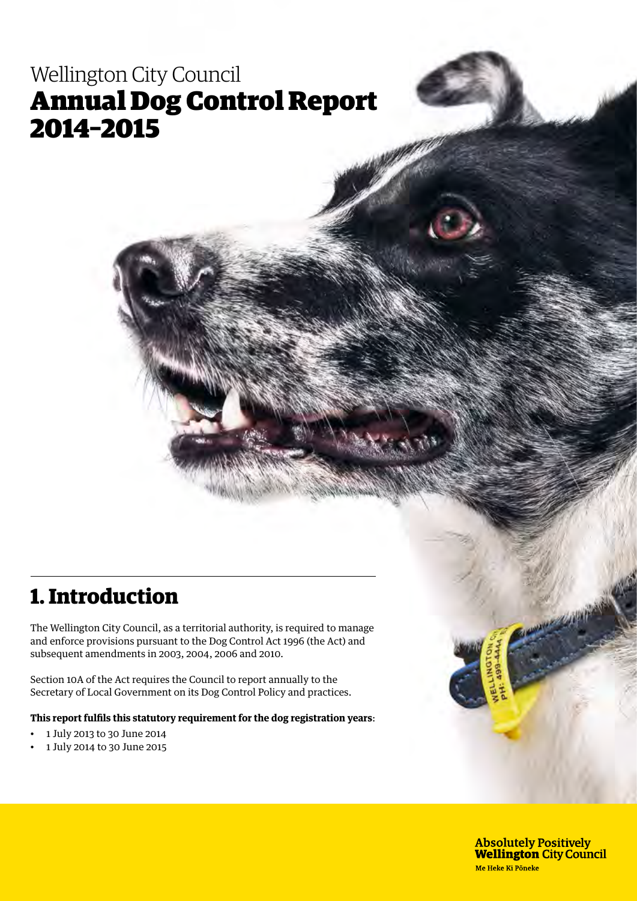# Wellington City Council Annual Dog Control Report 2014–2015

# **1. Introduction**

The Wellington City Council, as a territorial authority, is required to manage and enforce provisions pursuant to the Dog Control Act 1996 (the Act) and subsequent amendments in 2003, 2004, 2006 and 2010.

Section 10A of the Act requires the Council to report annually to the Secretary of Local Government on its Dog Control Policy and practices.

**This report fulfils this statutory requirement for the dog registration years**:

- 1 July 2013 to 30 June 2014
- 1 July 2014 to 30 June 2015

**Absolutely Positively Wellington City Council** Me Heke Ki Pöneke

**CONTRACTOR**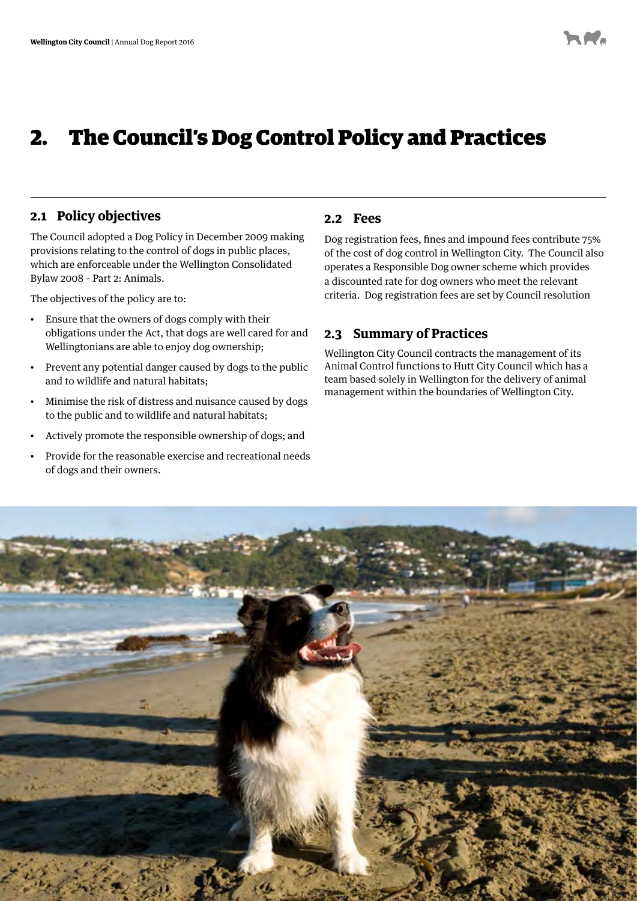## 2. The Council's Dog Control Policy and Practices

### **2.1 Policy objectives**

The Council adopted a Dog Policy in December 2009 making provisions relating to the control of dogs in public places, which are enforceable under the Wellington Consolidated Bylaw 2008 – Part 2: Animals.

The objectives of the policy are to:

- Ensure that the owners of dogs comply with their obligations under the Act, that dogs are well cared for and Wellingtonians are able to enjoy dog ownership;
- Prevent any potential danger caused by dogs to the public and to wildlife and natural habitats;
- Minimise the risk of distress and nuisance caused by dogs to the public and to wildlife and natural habitats;
- Actively promote the responsible ownership of dogs; and
- Provide for the reasonable exercise and recreational needs of dogs and their owners.

#### **2.2 Fees**

Dog registration fees, fines and impound fees contribute 75% of the cost of dog control in Wellington City. The Council also operates a Responsible Dog owner scheme which provides a discounted rate for dog owners who meet the relevant criteria. Dog registration fees are set by Council resolution

### **2.3 Summary of Practices**

Wellington City Council contracts the management of its Animal Control functions to Hutt City Council which has a team based solely in Wellington for the delivery of animal management within the boundaries of Wellington City.

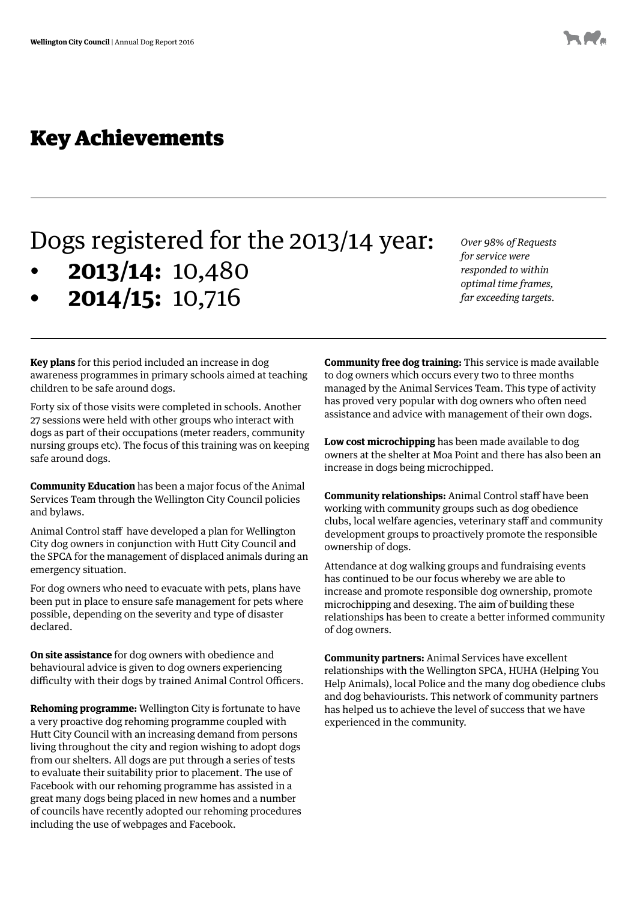## Key Achievements

# Dogs registered for the 2013/14 year:

- **2013/14:** 10,480
- **• 2014/15:** 10,716

*Over 98% of Requests for service were responded to within optimal time frames, far exceeding targets.*

**Key plans** for this period included an increase in dog awareness programmes in primary schools aimed at teaching children to be safe around dogs.

Forty six of those visits were completed in schools. Another 27 sessions were held with other groups who interact with dogs as part of their occupations (meter readers, community nursing groups etc). The focus of this training was on keeping safe around dogs.

**Community Education** has been a major focus of the Animal Services Team through the Wellington City Council policies and bylaws.

Animal Control staff have developed a plan for Wellington City dog owners in conjunction with Hutt City Council and the SPCA for the management of displaced animals during an emergency situation.

For dog owners who need to evacuate with pets, plans have been put in place to ensure safe management for pets where possible, depending on the severity and type of disaster declared.

**On site assistance** for dog owners with obedience and behavioural advice is given to dog owners experiencing difficulty with their dogs by trained Animal Control Officers.

**Rehoming programme:** Wellington City is fortunate to have a very proactive dog rehoming programme coupled with Hutt City Council with an increasing demand from persons living throughout the city and region wishing to adopt dogs from our shelters. All dogs are put through a series of tests to evaluate their suitability prior to placement. The use of Facebook with our rehoming programme has assisted in a great many dogs being placed in new homes and a number of councils have recently adopted our rehoming procedures including the use of webpages and Facebook.

**Community free dog training:** This service is made available to dog owners which occurs every two to three months managed by the Animal Services Team. This type of activity has proved very popular with dog owners who often need assistance and advice with management of their own dogs.

**Low cost microchipping** has been made available to dog owners at the shelter at Moa Point and there has also been an increase in dogs being microchipped.

**Community relationships:** Animal Control staff have been working with community groups such as dog obedience clubs, local welfare agencies, veterinary staff and community development groups to proactively promote the responsible ownership of dogs.

Attendance at dog walking groups and fundraising events has continued to be our focus whereby we are able to increase and promote responsible dog ownership, promote microchipping and desexing. The aim of building these relationships has been to create a better informed community of dog owners.

**Community partners:** Animal Services have excellent relationships with the Wellington SPCA, HUHA (Helping You Help Animals), local Police and the many dog obedience clubs and dog behaviourists. This network of community partners has helped us to achieve the level of success that we have experienced in the community.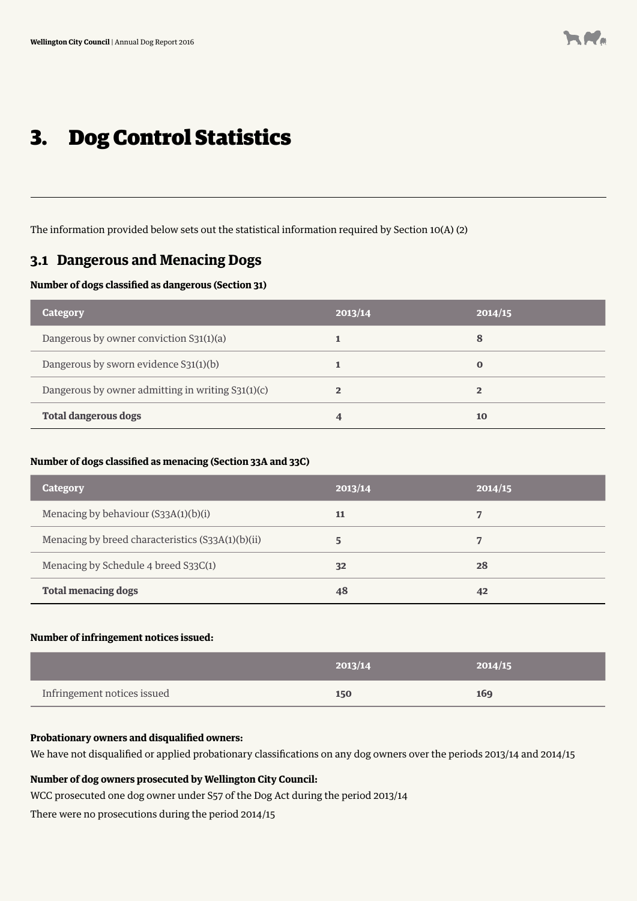# 3. Dog Control Statistics

The information provided below sets out the statistical information required by Section 10(A) (2)

### **3.1 Dangerous and Menacing Dogs**

#### **Number of dogs classified as dangerous (Section 31)**

| <b>Category</b>                                   | 2013/14 | 2014/15  |
|---------------------------------------------------|---------|----------|
| Dangerous by owner conviction S31(1)(a)           |         | 8        |
| Dangerous by sworn evidence S31(1)(b)             |         | $\bf{0}$ |
| Dangerous by owner admitting in writing S31(1)(c) | 2       |          |
| <b>Total dangerous dogs</b>                       |         | 10       |

#### **Number of dogs classified as menacing (Section 33A and 33C)**

| Category                                          | 2013/14 | 2014/15 |
|---------------------------------------------------|---------|---------|
| Menacing by behaviour (S33A(1)(b)(i)              | 11      |         |
| Menacing by breed characteristics (S33A(1)(b)(ii) | 5       | 7       |
| Menacing by Schedule 4 breed S33C(1)              | 32      | 28      |
| <b>Total menacing dogs</b>                        | 48      | 42      |

#### **Number of infringement notices issued:**

|                             | 2013/14 | 2014/15 |
|-----------------------------|---------|---------|
| Infringement notices issued | 150     | 169     |

#### **Probationary owners and disqualified owners:**

We have not disqualified or applied probationary classifications on any dog owners over the periods 2013/14 and 2014/15

### **Number of dog owners prosecuted by Wellington City Council:**

WCC prosecuted one dog owner under S57 of the Dog Act during the period 2013/14

There were no prosecutions during the period 2014/15